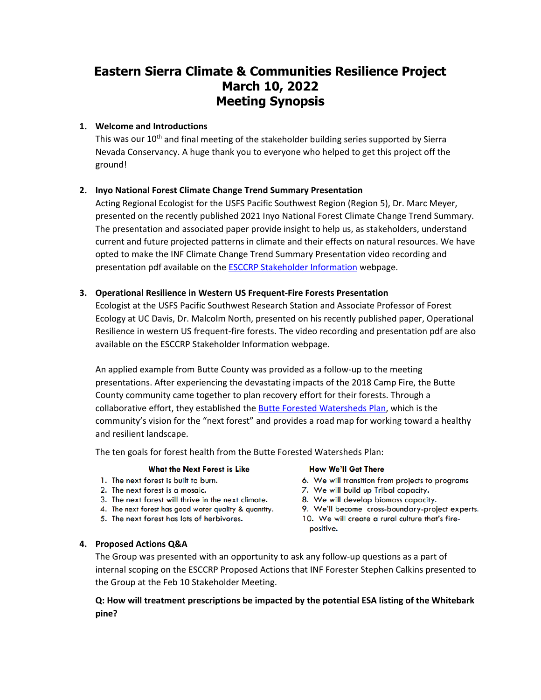# **Eastern Sierra Climate & Communities Resilience Project March 10, 2022 Meeting Synopsis**

## **1. Welcome and Introductions**

This was our  $10<sup>th</sup>$  and final meeting of the stakeholder building series supported by Sierra Nevada Conservancy. A huge thank you to everyone who helped to get this project off the ground!

## **2. Inyo National Forest Climate Change Trend Summary Presentation**

Acting Regional Ecologist for the USFS Pacific Southwest Region (Region 5), Dr. Marc Meyer, presented on the recently published 2021 Inyo National Forest Climate Change Trend Summary. The presentation and associated paper provide insight to help us, as stakeholders, understand current and future projected patterns in climate and their effects on natural resources. We have opted to make the INF Climate Change Trend Summary Presentation video recording and presentation pdf available on the **ESCCRP Stakeholder Information** webpage.

## **3. Operational Resilience in Western US Frequent-Fire Forests Presentation**

Ecologist at the USFS Pacific Southwest Research Station and Associate Professor of Forest Ecology at UC Davis, Dr. Malcolm North, presented on his recently published paper, Operational Resilience in western US frequent-fire forests. The video recording and presentation pdf are also available on the ESCCRP Stakeholder Information webpage.

An applied example from Butte County was provided as a follow-up to the meeting presentations. After experiencing the devastating impacts of the 2018 Camp Fire, the Butte County community came together to plan recovery effort for their forests. Through a collaborative effort, they established th[e Butte Forested Watersheds Plan,](https://www.bcrcd.org/butte-forests-plan-is-complete) which is the community's vision for the "next forest" and provides a road map for working toward a healthy and resilient landscape.

The ten goals for forest health from the Butte Forested Watersheds Plan:

#### **What the Next Forest is Like**

- 1. The next forest is built to burn.
- 2. The next forest is a mosaic.
- 3. The next forest will thrive in the next climate.
- 4. The next forest has good water quality & quantity.
- 5. The next forest has lots of herbivores.

#### **How We'll Get There**

- 6. We will transition from projects to programs
- 7. We will build up Tribal capacity.
- 8. We will develop biomass capacity.
- 9. We'll become cross-boundary-project experts.
- 10. We will create a rural culture that's firepositive.

## **4. Proposed Actions Q&A**

The Group was presented with an opportunity to ask any follow-up questions as a part of internal scoping on the ESCCRP Proposed Actions that INF Forester Stephen Calkins presented to the Group at the Feb 10 Stakeholder Meeting.

**Q: How will treatment prescriptions be impacted by the potential ESA listing of the Whitebark pine?**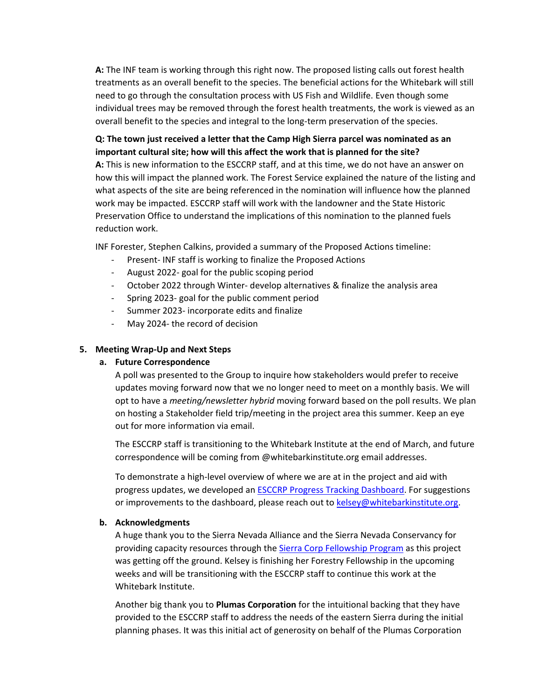**A:** The INF team is working through this right now. The proposed listing calls out forest health treatments as an overall benefit to the species. The beneficial actions for the Whitebark will still need to go through the consultation process with US Fish and Wildlife. Even though some individual trees may be removed through the forest health treatments, the work is viewed as an overall benefit to the species and integral to the long-term preservation of the species.

## **Q: The town just received a letter that the Camp High Sierra parcel was nominated as an important cultural site; how will this affect the work that is planned for the site?**

**A:** This is new information to the ESCCRP staff, and at this time, we do not have an answer on how this will impact the planned work. The Forest Service explained the nature of the listing and what aspects of the site are being referenced in the nomination will influence how the planned work may be impacted. ESCCRP staff will work with the landowner and the State Historic Preservation Office to understand the implications of this nomination to the planned fuels reduction work.

INF Forester, Stephen Calkins, provided a summary of the Proposed Actions timeline:

- Present- INF staff is working to finalize the Proposed Actions
- August 2022- goal for the public scoping period
- October 2022 through Winter- develop alternatives & finalize the analysis area
- Spring 2023- goal for the public comment period
- Summer 2023- incorporate edits and finalize
- May 2024- the record of decision

## **5. Meeting Wrap-Up and Next Steps**

## **a. Future Correspondence**

A poll was presented to the Group to inquire how stakeholders would prefer to receive updates moving forward now that we no longer need to meet on a monthly basis. We will opt to have a *meeting/newsletter hybrid* moving forward based on the poll results. We plan on hosting a Stakeholder field trip/meeting in the project area this summer. Keep an eye out for more information via email.

The ESCCRP staff is transitioning to the Whitebark Institute at the end of March, and future correspondence will be coming from @whitebarkinstitute.org email addresses.

To demonstrate a high-level overview of where we are at in the project and aid with progress updates, we developed a[n ESCCRP Progress Tracking Dashboard.](https://www.eswildfirealliance.org/esccrp-dashboard) For suggestions or improvements to the dashboard, please reach out to [kelsey@whitebarkinstitute.org.](mailto:kelsey@whitebarkinstitute.org)

## **b. Acknowledgments**

A huge thank you to the Sierra Nevada Alliance and the Sierra Nevada Conservancy for providing capacity resources through the [Sierra Corp Fellowship Program](https://sierranevadaalliance.org/sierra-corps-forestry-fellowship-program/) as this project was getting off the ground. Kelsey is finishing her Forestry Fellowship in the upcoming weeks and will be transitioning with the ESCCRP staff to continue this work at the Whitebark Institute.

Another big thank you to **Plumas Corporation** for the intuitional backing that they have provided to the ESCCRP staff to address the needs of the eastern Sierra during the initial planning phases. It was this initial act of generosity on behalf of the Plumas Corporation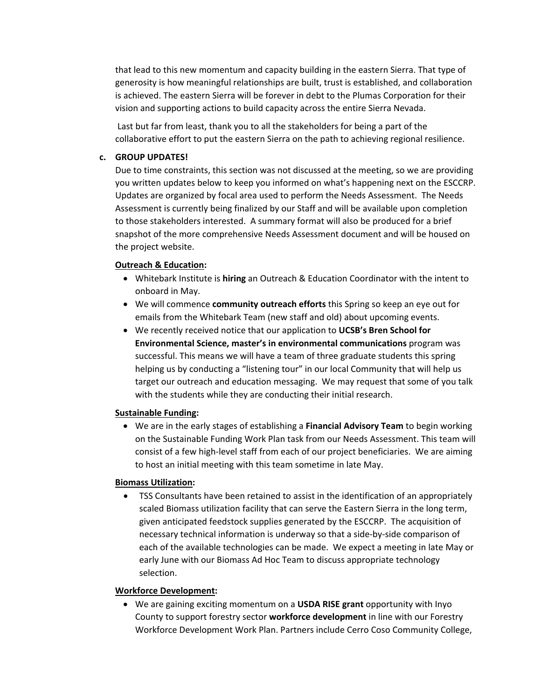that lead to this new momentum and capacity building in the eastern Sierra. That type of generosity is how meaningful relationships are built, trust is established, and collaboration is achieved. The eastern Sierra will be forever in debt to the Plumas Corporation for their vision and supporting actions to build capacity across the entire Sierra Nevada.

Last but far from least, thank you to all the stakeholders for being a part of the collaborative effort to put the eastern Sierra on the path to achieving regional resilience.

#### **c. GROUP UPDATES!**

Due to time constraints, this section was not discussed at the meeting, so we are providing you written updates below to keep you informed on what's happening next on the ESCCRP. Updates are organized by focal area used to perform the Needs Assessment. The Needs Assessment is currently being finalized by our Staff and will be available upon completion to those stakeholders interested. A summary format will also be produced for a brief snapshot of the more comprehensive Needs Assessment document and will be housed on the project website.

#### **Outreach & Education:**

- Whitebark Institute is **hiring** an Outreach & Education Coordinator with the intent to onboard in May.
- We will commence **community outreach efforts** this Spring so keep an eye out for emails from the Whitebark Team (new staff and old) about upcoming events.
- We recently received notice that our application to **UCSB's Bren School for Environmental Science, master's in environmental communications** program was successful. This means we will have a team of three graduate students this spring helping us by conducting a "listening tour" in our local Community that will help us target our outreach and education messaging. We may request that some of you talk with the students while they are conducting their initial research.

#### **Sustainable Funding:**

• We are in the early stages of establishing a **Financial Advisory Team** to begin working on the Sustainable Funding Work Plan task from our Needs Assessment. This team will consist of a few high-level staff from each of our project beneficiaries. We are aiming to host an initial meeting with this team sometime in late May.

#### **Biomass Utilization:**

• TSS Consultants have been retained to assist in the identification of an appropriately scaled Biomass utilization facility that can serve the Eastern Sierra in the long term, given anticipated feedstock supplies generated by the ESCCRP. The acquisition of necessary technical information is underway so that a side-by-side comparison of each of the available technologies can be made. We expect a meeting in late May or early June with our Biomass Ad Hoc Team to discuss appropriate technology selection.

#### **Workforce Development:**

• We are gaining exciting momentum on a **USDA RISE grant** opportunity with Inyo County to support forestry sector **workforce development** in line with our Forestry Workforce Development Work Plan. Partners include Cerro Coso Community College,